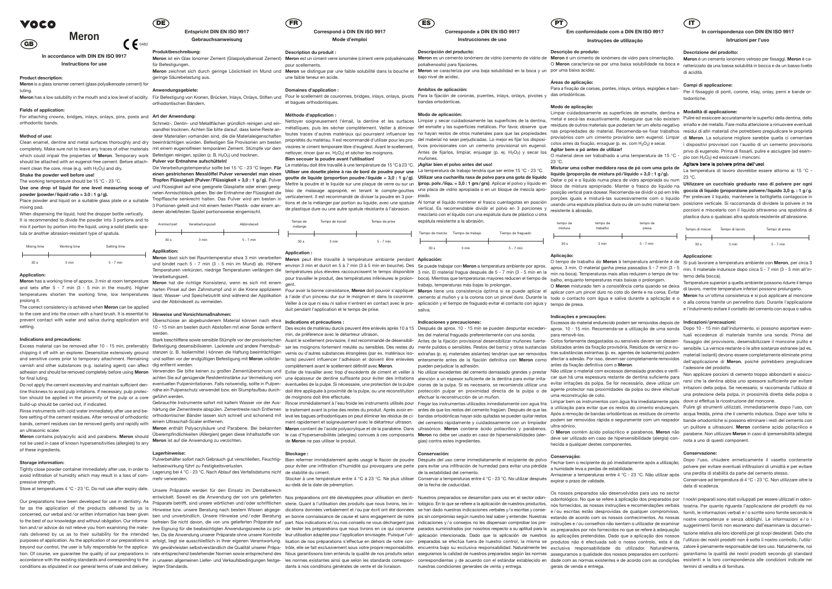**Produktbeschreibung:** für Befestigungen.

 $\bigcap_{0.482}$ 

**Gebrauchsanweisung**

geringe Säurebelastung aus.

**Anwendungsgebiete:**

# orthodontischen Bändern.

Schmelz-, Dentin- und Metallflächen gründlich reinigen und ein- Nettoyer soigneusement l'émail, la dentine et les surfaces Limpiar y secar cuidadosamente las superficies de la dentina, beeinträchtigen würden. Befestigen Sie Provisorien am besten completely. Make sure not to leave any traces of other materials mit einem eugenolfreien temporaren Zement. Stümpfe vor dem visoires le ciment temporaire libre d'eugénol. Avant le scellement, Method of use: provisórios com um cimento provisório sem eugenol. Limpare derer Materialien vornanden sind, die die Materialen sind, die die Materialen secure intervals de des des secures intervals de provision. Interior i

> 10 - 15 min am besten durch Abstoßen mit einer Sonde entfernt Des excès de matériau durcis peuvent être enlevés après 10 à 15 Después de aprox. 10 - 15 min se pueden despuntar exceden- aprox. 10 - 15 min. Recomenda-se a ut werden.

Excess material can be removed after 10 - 15 min, preferrably Befestigung desensibilisieren. Lackreste und andere Fremdsub- ser les moignons fortement meulés ou sensibles. Des restes du mente pulidos o sensibles. Restos de chipping it off with an explorer. Desensitize extensively ground stanzen z. B. Isoliermittel ) können die Haftung beeinträchtigen vernis ou d'autres substances étrangères (par ex. matériaux iso- extrañas (p. ej. materiales and sensitive cores prior to temporary attachment. Remaining und sollten vor der endgültigen Befestigung mit Meron vollstän- lants) peuvent influencer l'adhésion et doivent être enlevées enteramente antes de la fijación de

Verwenden Sie bitte keinen zu großen Zementüberschuss und Eviter de travailler avec trop d'excédents de ciment et veiller à<br>achten Sie auf genügende Restdentinstärke zur Vermeidung von une épaisseur de dentine suffisante p for final luting.<br>Do not applythe cement excessivley and maintain sufficient den- eventuellen Pulpenirritationen. Falls notwendig, sollte in Pulpen-

**Pulver vor Entnahme aufschütteln!** Die Verarbeitungstemperatur sollte bei 15 °C - 23 °C liegen. Für Le matériau doit être travaillé à une température de 15 °C à 23 °C. [Agitar bien el polvo antes del uso!] **einen gestrichenen Messlöffel Pulver verwendet man einen** Use one drop of liquid for one level measuring scoop of und Flüssigkeit auf eine geeignete Glasplatte oder einen geeig-Tropfflasche senkrecht halten. Das Pulver wird am besten in 3 Portionen geteilt und mit einem festen Plastik- oder einem anderen abriebfesten Spatel portionsweise eingemischt.

| Anmischzeit     | Verarbeitungszeit | Abbindezeit |
|-----------------|-------------------|-------------|
| 30 <sub>s</sub> | 3 min             | $5 - 7$ min |

**Applikation:**

und bindet nach 5 - 7 min (3 - 5 min im Mund) ab. Höhere lemperaturen verkurzen, niedrige lemperaturen verlangern die températures plus élevées raccourcissent le temps disponible 3 min. El material fragua después de 5 - 7 min (3 - 5 min en la min na boca). Temperaturas altas red **Meron** has a working time of approx. 3 min at room temperature **Meron** hat die richtige Konsistenz, wenn es sich mit einem meren has a herhing anne en applein einan arreem temperature. **Meron** hat die richtige Konsistenz, wenn es sich mit einem gent.<br>And sets after 5 - 7 min (3 - 5 min in the mouth). Higher harten Pinsel auf den Zahnstumpf und temperatures shorten the working time, low temperatures lässt. Wasser- und Speichelzutritt sind während der Applikation und der Abbindezeit zu vermeiden.

For attaching crowns, bridges, inlays, onlays, pins, posts and Art der Anwendung: orthodontic bands.

to the core and into the crown with a hard brush. It is essential to **Hinweise und Vorsichtsmaßnahmen:** prevent contact with water and saliva during application and Uberschüsse an abgebundenem Material können nach etwa Indications et précautions : The correct consistency is achieved when **Meron** can be applied setting.

**Meron** ist auf die Anwendung zu verzichten.

## **Lagerhinweise:**

keitseinwirkung führt zu Festigkeitsverlusten. Lagerung bei 4 °C - 23 °C. Nach Ablauf des Verfallsdatums nicht de stabilité du ciment. mehr verwenden.

Store at temperatures 4 °C - 23 °C. Do not use after expiry date. Unsere Präparate werden für den Einsatz im Dentalbereich onsus rispando when the temperators são desenvolvidos para uso no sector<br>entwickelt. Soweit es die Anwendung der von uns gelieferten Nos préparations ont été développées pour utilisation en denti- Nuestros preparados se de

tion should be applied in the proximity of the pulp or a core geführt werden. build-up should be carried out, if indicated.

bands, cement residues can be removed gently and rapidly with einem Ultraschall-Scaler entfernen. Rinse instruments with cold water immediately after use and bean ultrasonic scaler.

Meron ist ein Glas Ionomer Zement (Glaspolyalkenoat Zement) Meron est un ciment verre ionomère (ciment verre polyalkénoate) Meron zeichnet sich durch geringe Löslichkeit im Mund und Meron se distingue par une faible solubilité dans la bouche et Meron se caracteriza por una baja solubilidad en la boca y un por uma baixa acidez. pour scellements. une faible teneur en acide.

**In accordance with DIN EN ISO 9917 Instructions for use**

**Product description:**

**Meron** is a glass ionomer cement (glass polyalkenoate cement) for luting.

Meron has a low solubility in the mouth and a low level of acidity. Für Befestigung von Kronen, Brücken, Inlays, Onlays, Stiften und Pour le scellement de couronnes, bridges, inlays, onlays, pivots Para la fijación de coro

## **Fields of application:**

nettoyer, rincer (par ex. H<sub>2</sub>O<sub>2</sub>) et sécher les moignons. **Bien secouer la poudre avant l'utilisation!**

### **Method of use:**

which could impair the properties of **Meron**. Temporary work Befestigen reinigen, spülen (z. B. H<sub>2</sub>O<sub>2</sub>) und trocknen. should be attached with an eugenol-free cement. Before attach- Pulver vor Entnahme aufschütteln! ment clean the core, rinse (e.g. with  $H_2O_2$ ) and dry.

## **Shake the powder well before use!** The working temperature should be 15 °C - 23 °C.

**powder (powder/liquid ratio = 3.0 : 1 g/g).**

remporado sinceau do prolong it. We would allo diverse and the Applicação e o version de de de aplicação e de aplicação e de aplicação e de aplicação e de aplicação e de aplicação e de aplicação e de aplicação e de aplicaç Pour avoir la bonne consistance, **Meron** doit pouvoir s'appliquer Veiller à ce que ni eau ni salive n'entrent en contact avec le pro- aplicación y el tiempo de fraguado evitar el contacto con agua y tempo de presa. duit pendant l'application et le temps de prise.

Place powder and liquid on a suitable glass plate or a suitable mixing pad.

When dispensing the liquid, hold the dropper bottle vertically. It is recommended to divide the powder into 3 portions and to mix it portion by portion into the liquid, using a solid plastic spatula or another abrasion-resistant type of spatula.

> Stark beschliffene sowie sensible Stümpfe vor der provisorischen Avant le scellement provisoire, il est recommandé de désensibili- Antes de la fijación provisional desensibilizar muñones fuerte- Cotos fortemente desgastado complètement avant le scellement définitif avec **Meron**.

| Mixing time     | Working time | Setting time |
|-----------------|--------------|--------------|
|                 |              |              |
| 30 <sub>s</sub> | 3 min        | $5 - 7$ min  |

## **Application:**

Stocker à une température entre 4 °C à 23 °C. Ne plus utiliser Conservar a temperaturas entre 4 °C - 23 °C. No utilizar después au-delà de la date de péremption.

## **Indications and precautions:**

varnish and other substances (e.g. isolating agent) can affect dig entfernt werden.

Scrimerz-, Dentin- und Metalmachen grundlich reinigen und ein-<br>wandfrei trocknen. Achten Sie bitte darauf, dass keine Reste an- métalliques, puis les sécher complètement. Veiller à éliminer del esmalte y las superficies me derer Materialien vorhanden sind, die die Materialeigenschaften toutes traces d'autres matériaux qui pourraient influencer les no hayan restos de otros materiales para que las propiedades tivos provisionales con un cemento provisional sin eugenol. Antes de fijarlos, limpiar, enjuagar (p. ej. H2O2) y secar los **Agitar bem o pó antes de utilizar!** muñones.

Tropfen Flüssigkeit (Pulver/Flüssigkeit = 3,0 : 1 g/g). Pulver goutte de liquide (proportion poudre/liquide = 3,0 : 1 g/g). Utilizar una cucharilla rasa de polvo para una gota de líquido neten Anmischblock geben. Bei der Entnahme der Flüssigkeit die bloc de malaxage approprié, en tenant le compte-gouttes una placa de vidrio apropiada o en un bloque de mezcla apro-<br>neten Anmischblock geben. Bei der Entnahme **Utiliser une dosette pleine à ras de bord de poudre pour une** La temperatura de trabajo tendría que ser entre 15 °C - 23 °C. Mettre la poudre et le liquide sur une plaque de verre ou sur un (prop. polv./liqu. = 3,0:1 grs/grs). Aplicar el polvo y liquido en procede mistura apropriado. Manter o frasco do liquido na Utilizzare un cucchiaio graduato

**Meron** contains polyacrylic acid and parabens. **Meron** should not be used in case of known hypersensitivities (allergies) to any of these ingredients.

de plastique dure ou une autre spatule résistante à l'abrasion. Vertical. Es recomendable dividir el polvo en 3 porciones y resistente à abrasão. mezclarlo con el líquido con una espátula dura de plástico u otra espátula resistente a la abrasión.

## **Storage information:**

Tightly close powder container immediately after use, in order to avoid infiltration of humidity which may result in a loss of compressive strength.

conditions as stipulated in our general terms of sale and delivery. legten Standards.

pour travailler le produit, des températures inférieures le prolon- boca). Mientras que temperaturas mayores reducen el tiempo de palho, enquanto temperaturas mais baixas o prolongam. trabajo, temperaturas más bajas Io prolongan.

trabajo, temperaturas mas bajas lo prolongan.<br>**Meron** tiene una consistencia óptima si se puede aplicar el eplicar com um pincel duro no coto do dente e na coroa. Evita saliva.

adhesion and should be removed completely before using Meron Verwenden Sie bitte keinen zu großen Zementüberschuss und Eviter de travailler avec trop d'excédents de ciment et veiller à No utilizar excedentes del cemento de tine thickness to avoid pulp irritations. If necessary, pulp protec- nähe ein Pulpenschutz verwendet bzw. ein Stumpfaufbau durch- doit être appliquée à proximité de la pulpe, ou une reconstitution protección pulpar en prox Do not apply the cement excessivley and maintain sufficient den- eventuellen Pulpenirritationen. Falls notwendig, sollte in Pulpen- éventuelles de la pulpe. Si nécessaire, une protection de la pulpe ciones de la pulpa. Si No utilizar excedentes del cemento demasiado grandes y prestar No dillizar excedentes del centento dentasido grandes y prestar rita e alle de la conta con obcocco dentastado grandes y allectos com Non applicare porzioni di cemento troppo abbondanti e assicu-<br>Atención a un espesor sufi efectuar la reconstrucción de un muñon.

Gebrauchte Instrumente sofort mit kaltem Wasser vor der Aus- Rincer immédiatement à l'eau froide les instruments utilisés pour Fregar los instrumentas utilizados inmediatamente con agua fría Limpar bem os instrumentos com härtung der Zementreste abspülen. Zementreste nach Entfernen le traitement avant la prise des restes du produit. Après avoir en- antes de que los restos del cemento fragüen. Después de que las a utilização para evitar que fore setting of the cement residues. After removal of orthodontic orthodontischer Bänder lassen sich schnell und schonend mit levé les bagues orthodontiques on peut éliminer les résidus de ci- bandas ortodónticas hayan sid **Meron** enthält Polyacrylsäure und Parabene. Bei bekannten Meron contient de l'acide polyacrylique et de la parabène. Dans ultrasónico. Meron contiene ácido poliacrílico y parabenos. altrasónico Überempfindlichkeiten (Allergien) gegen diese Inhaltsstoffe von le cas d'hypersensibilités (allergies) connues à ces composants Meron no debe ser usado en caso de hipersensibilidades (alerment rapidement et soigneusement avec le détartreur ultrason. del cemento rápidamente y cuidadosamente con un limpiador podem ser removidos rápida e seguramente com um raspador bande ortodontiche si possono eliminare i res gias) contra estes ingredientes.

> Pulverbehälter sofort nach Gebrauch gut verschließen, Feuchtig- Bien refermer immédiatement après usage le flacon de poudre Después del uso cerrar immediatamente el recipiente de polvo pour éviter une infiltration d'humidité qui provoquera une perte para evitar una infiltración de humedad para evitar una pérdida de la estabilidad del cemento.

**Correspond à DIN EN ISO 9917**

**Mode d'emplo** 

## **Description du produit :**

## **Domaines d'application :**

et bagues orthodontiques.

Our preparations have been developed for use in dentistry. As praparate betrifft, sind unsere wortlichen und/oder schriftlichen sterie. Quant à l'utilisation des produits que nous livrons, les in- tológico. En lo que se re far as the application of the products delivered by us is Hinweise bzw. unsere Beratung nach bestem Wissen abgege- dications données verbalement et/ou par écrit ont été données se han dado nuestras indicaciones verbales y/ concerned, our verbal and /or written information has been given ben und unverbindlich. Unsere Hinweise und/oder Beratung en bonne connaissance de cause et sans engagement de notre jos sin compromiso según nuestro leal sab to the best of our knowledge and without obligation. Our informa- befreien Sie nicht davon, die von uns gelieferten Präparate auf part. Nos indications et/ou nos conseils ne vous déchargent pas indicaciones y/o consellos n tion and/or advice do not relieve you from examining the mate- ihre Eignung für die beabsichtigten Anwendungszwecke zu prü- de tester les préparations que nous livrons en ce qui concerne parados suministrados por nosotros rials delivered by us as to their suitability for the intended fen Da die Anwendung unserer Präparate ohne unsere Kontrolle leur utilisation adaptée pour l'application envisagée. Puisque l'uti- aplicación intencionada. Dad purposes of application. As the application of our preparations is erfolgt, liegt sie ausschließlich in Ihrer eigenen Verantwortung. lisation de nos préparations s'effectue en dehors de notre con- preparados se efectúa fue beyond our control, the user is fully responsible for the applica- Wir gewährleisten selbstverständlich selbstverständlich die Qualität unserer Präpa- trôle, elle se fait exclusivement sous votre propre responsabilité. enc tion. Of course, we guarantee the quality of our preparations in rate entsprechend bestehender Normen sowie entsprechend bestehender Normen sowie entsprechend des Nous garantissons bien entendu la qualité de nos produits s accordance with the existing standards and corresponding to the in unseren allgemeinen Liefer- und Verkaufsbedingungen festge- les normes existantes ainsi que selon les standards correspondientes y de acuerdo con el estánd nuestras condiciones generales de venta y entrega.

## **Méthode d'application :**

Limpar cuidadosamente as superfícies de esmalte, dentina e **Modalità di applicazione:** nas propriedades do material. Recomenda-se fixar trabalhos cotos antes da fixação, enxaguar (p. ex. com H<sub>2</sub>O<sub>2</sub>) e secar.

| Temps de<br>mélange | Temps de travail | Temps de prise |
|---------------------|------------------|----------------|
|                     |                  |                |
|                     |                  |                |
| 30 <sub>s</sub>     | 3 min            | $5 - 7$ min    |

## **Application :**

Meron lässt sich bei Raumtemperatur etwa 3 min verarbeiten **Meron** peut être travaillé à température ambiante pendant Aplicación:

min, de préférence avec le détartreur ultrason.

Meron es un cemento ionómero de vidrio (cemento de vidrio de Meron é um cimento de ionómero de vidro para cimentação. O Meron caracteriza-se por uma baixa solubilidade na boca e ratterizzato da una bassa solubilità in bocca e da un basso livello **Meron** è un cemento ionomero vetroso per fissaggi. **Meron** è cadi acidità.

une épaisseur de dentine suffisante pour éviter des irritations de moignons doit être effectuée.

La temperatura di lavoro dovrebbe essere attorno ai 15 °C -  $23°C$ 

tions et de la mélanger par portion au liquide, avec une spatule Al tomar el líquido mantener el frasco cuentagotas en posción isando uma espátula plástica dura ou de um outro material bem posizione verticale. Si raccomand posição vertical para dosear. Recomenda-se dividir o pó em três **goccia di liquido (proporzione polvere/liquido 3,0 g. : 1 g/g.** porções iguais e misturá-las sucessivamente com o líquido Per prelevare il liquido, mantenere la bottiglietta contagocce in porzioni e miscelarlo con il liquido attraverso una spatolina di plastica dura o qualsiasi altra spatola resistente all'abrasione.

Temperaturen verkürzen, niedrige Temperaturen verlängern die températures plus élevées raccourcissent le temps disponible 3 min El material fragua después de 5 - 7 min (3 - 5 min. O material ganha presa passados 5 - 7 min O tempo de trabalho do **Meron** à temperatura ambiente é de Si può lavorare a temperatura ambiente con **Meron**, per circa 3

de **Meron** ne pas utiliser le produit.

## **Stockage :**

verticalement. Il est recommandé de diviser la poudre en 3 por-piado.

dants à nos conditions générales de vente et de livraison.



# **Corresponde a DIN EN ISO 9917**

**Instrucciones de uso**

### **Descripción del producto:**

## **Entspricht DIN EN ISO 9917 DE FR ES PT IT**

polialkenoato) para fijaciones. bajo nivel de acidez.

## **Ambitos de aplicación:**

bandas ortodónticas.

### **Modo de aplicación:**

| Tiempo de mezcla | Tiempo de trabajo | Tiempo de fraguado |
|------------------|-------------------|--------------------|
| 30 <sub>s</sub>  | 3 min             | $5 - 7$ min        |

## **Indicaciones y precauciones:**

tes del material fraguado preferentemente con una sonda. pueden perjudicar la adhesión.

## **Conservación:**

de la fecha de caducidad.

## **Em conformidade com a DIN EN ISO 9917**

## **Instruções de utilização**

### **Descrição do produto:**

## **Áreas de aplicação:**

Para a fixação de coroas, pontes, inlays, onlays, espigões e ban-

**Modo de aplicação:**

O material deve ser trabalhado a uma temperatura de 15 °C -

23 °C.

## **Misturar uma colher medidora rasa de pó com uma gota de líquido (proporção de mistura pó/líquido = 3,0 : 1 g/g).**

Deitar o pó e o líquido numa placa de vidro apropriada ou num

| tempo de        | tempo de | tempo de    |
|-----------------|----------|-------------|
| mistura         | trabalho | presa       |
| 30 <sub>s</sub> | 3 min    | $5 - 7$ min |

**Aplicação:**

aplicar com um pincel duro no coto do dente e na coroa. Evitar

**Indicações e precauções:**

para removê-los.

antes da fixação definitiva com o **Meron**.

hecida a qualquer destes componentes.

uma reconstrução de coto.

metal e secá-las exaustivamente. Assegurar que não existem Pulire ed essiccare accuratamente le superfici della dentina, dello smalto e del metallo. Fare molta attenzione a rimuovere eventuali residui di altri materiali che potrebbero pregiudicare le proprietà di **Meron**. La soluzione migliore sarebbe quella ci cementare i dispositivi provvisori con l'ausilio di un cemento provvisorio privo di eugenolo. Prima di fissarli, pulire e asciugare (ad esempio con H2O2) ed essiccare i monconi.

**Conservação:**

Fechar bem o recipiente do pó imediatamente após a utilização; a humidade leva a perdas de estabilidade.

Armazenar a temperaturas entre 4 °C - 23 °C. Não utilizar após



expirar o prazo de validade.

Excessos do material endurecido podem ser removidos depois de **Indicazioni/precauzioni:**

gerais de venda e entrega.

## **In corrispondenza con DIN EN ISO 9917 Istruzioni per l'uso**

## **Descrizione del prodotto:**

## **Campi di applicazione:**

Per il fissaggio di ponti, corone, inlay, onlay, perni e bande ortodontiche.

## Agitare bene la polvere prima dell'uso!

O **Meron** contém ácido poliacrílico e parabenos. **Meron** não parabene. Non utilizzare **Meron** in caso di ipersensibilità (allergia) deve ser utilizado em caso de hipersensibilidade (alergia) con-nota a uno di questi component. un pulitore a ultrasuoni. **Meron** contiene acido poliacrilico e



## **Applicazione:**

Temperature superiori a quella ambiente possono ridurre il tempo di lavoro, mentre temperature inferiori possono prolungarlo.

odontológico. No que se refere à aplicação dos preparados por I nostri preparati sono stati sviluppati per essere utilizzati in odontazione relativa alla loro idoneità per gli scopi desiderati. Dato che termini di vendita e di fornitura.

**Meron** ha un'ottima consistenza e si può applicare al moncone o alla corona tramite un pennellino duro. Durante l'applicazione e l'indurimento evitare il contatto del cemento con acqua o saliva.

tuali eccedenze di materiale tramite una sonda. Prima del l'adesione del prodotto.

rarsi che la dentina abbia uno spessore sufficiente per evitare una protezione della polpa, in prossimità diretta della polpa o

## **Conservazione:**

Dopo l'uso, chiudere ermeticamente il vasetto contenente polvere per evitare eventuali infiltrazioni di umidità e per evitare una perdita di stabilità da parte del cemento stesso.

Conservare ad temperatura di 4 °C - 23 °C. Non utilizzare oltre la data di scadenza.

# VOCO

**GB**

# Meron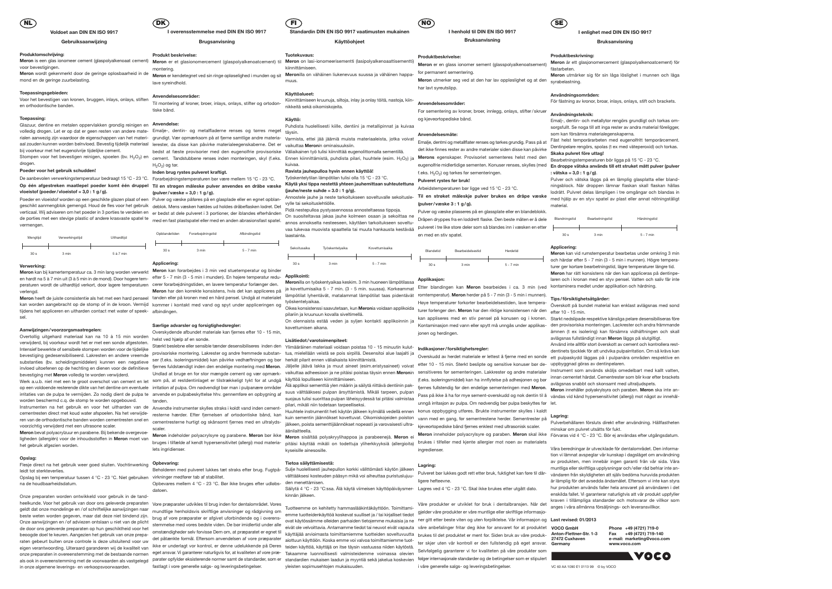

## **Voldoet aan DIN EN ISO 9917**

## **Gebruiksaanwijzing**

## **Produktomschrijving:**

Meron is een glas ionomeer cement (glaspolyalkenoaat cement) Meron er et glasionomercement (glaspolyalkenoatcement) til Meron on lasi-ionomeerisementti (lasipolyalkenoaattisementti) voor bevestigingen. **Meron** wordt gekenmerkt door de geringe oplosbaarheid in de mond en de geringe zuurbelasting.

### **Toepassingsgebieden:**

Voor het bevestigen van kronen, bruggen, inlays, onlays, stiften en orthodontische banden.

### **Toepassing:**

Glazuur, dentine en metalen oppervlakken grondig reinigen en **Anvendelse:** volledig drogen. Let er op dat er geen resten van andere mate- Emalje-, dentin- og metalfladerne renses og tørres meget <sub>täysin.</sub> rialen aanwezig zijn waardoor de eigenschappen van het materi- grundigt. Vær opmærksom på at fjerne samtlige andre materia- Varmista, ettei jää jäämiä muista materiaaleista, jotka voivat aal zouden kunnen worden beïnvloed. Bevestig tijdelijk materiaal lerester, da disse kan påvirke materialeegenskaberne. Det er vaikuttaa **Meron**in ominaisuuksiin. bij voorkeur met het eugenolvrije tijdelijke cement.

peraturen wordt de uithardtijd verkort, door lagere temperaturen cerer forarbejdningstiden, en lavere temperatur forlænger den. **Meron**illa on työskentyaikaa keskim. 3 min huoneen lämpötilassa Derer forarbejdringsluen, en lavere temperatur fonænger den.<br>Meron har den korrekte konsistens, hvis det kan appliceres på ja kovettumisaika 5 - 7 min. (3 - 5 min. suussa). Korkeammat Etter blandingen kan Meron bearbeides

Afbindingstid

drogen.

**Meron** kan bij kamertemperatuur ca. 3 min lang worden verwerkt Meron kan forarbejdes i 3 min ved stuetemperatur og binder en hardt na 5 à 7 min uit (3 à 5 min in de mond). Door hogere tem-<br>en hardt na 5 à 7 min uit (3 à 5 min in de mond). Door hogere tem-efter 5 - 7 min (3 - 5 min i munden). En højere temperatur redu-**Applikointi:** verlengd.

## **Poeder voor het gebruik schudden!**

De aanbevolen verwerkingstemperatuur bedraagt 15 °C - 23 °C. Forarbejdningstemperaturen bør være mellem 15 °C - 23 °C. Op één afgestreken maatlepel poeder komt één druppel Til en strøgen måleske pulver anvendes en dråbe væske Käytäyksi tippanestettäyhteen jauhemittaan suhteutettuna **vloeistof (poeder/vloeistof = 3,0 : 1 g/g).**

Poeder en vloeistof worden op een geschikte glazen plaat of een Pulver og væske påføres på en glasplade eller en egnet opblangeschikt aanmengblok gemengd. Houd de fles voor het gebruik deblok. Mens væsken hældes ud holdes dråbeflasken lodret. Det verticaal. Wij adviseren om het poeder in 3 porties te verdelen en er bedst at dele pulveret i 3 portioner, der iblandes efterhånden de porties met een stevige plastic of andere krasvaste spatel te med en fast plastspatel eller med en anden abrasionsfast spatel. vermengen.

| Verwerkingstijd<br>Mengtijd |       | Uithardtijd |  |
|-----------------------------|-------|-------------|--|
|                             |       |             |  |
|                             |       |             |  |
| 30 <sub>s</sub>             | 3 min | 5 à 7 min   |  |

## **Verwerking:**

Opslag bij een temperatuur tussen 4 °C - 23 °C. Niet gebruiken virkninger medfører tab af stabilitet. na de houdbaarheidsdatum.

kan worden aangebracht op de stomp of in de kroon. Vermijd tijdens het appliceren en uitharden contact met water of speeksel.

## **Aanwijzingen/voorzorgsmaatregelen:**

Overtollig uitgehard materiaal kan na 10 à 15 min worden verwijderd, bij voorkeur wordt het er met een sonde afgestoten. Intensief bewerkte of sensibele stompen worden voor de tijdelijke bevestiging gedesensibiliseerd. Lakresten en andere vreemde bevestiging met **Meron** volledig te worden verwijderd.

**Meron** bevat polyacrylzuur en parabene. Bij bekende overgevoeligheden (allergiën) voor de inhoudsstoffen in **Meron** moet van het gebruik afgezien worden.

## **Opslag:**

substanties (bv. scheidingsmiddelen) kunnen een negatieve ser (f.eks. isoleringsmiddel) kan påvirke vedhæftningen og bør herkät pilarit ennen väliaikaista kinnittämistä. Stærkt beslebne eller sensible tænder desensibiliseres inden den Ylimääräinen materiaali voidaan poistaa 10 - 15 minuutin kulut- **Indikasjoner/forsiktighetsregler:** provisoriske montering. Lakrester og andre fremmede substanser (f.eks. isoleringsmiddel) kan påvirke vedhæftningen og bør

fastlagt i vore generelle salgs- og leveringsbetingelser.

Flesje direct na het gebruik weer goed sluiten. Vochtinwerking **Opbevaring:** leidt tot sterkteverlies.

Werk a.u.b. niet met een te groot overschot van cement en let som på, at restdentinlaget er tilstrækkeligt tykt for at undgå käyttöä lopulliseen kiinnittämiseen. worden beschermd c.q. de stomp te worden opgebouwd. Instrumenten na het gebruik en voor het uitharden van de Anvendte instrumenter skylles straks i koldt vand inden cementcementresten direct met koud water afspoelen. Na het verwijdevoorzichtig verwijderd met een ultrasone scaler. tanden.

cementresterne hurtigt og skånsomt fjernes med en ultralydssemennesseme nungt og skansomt ljemes med en ultralyds- jälkeen, poista sementtijäännökset nopeasti ja varovaisesti ultra-<br>scaler.

Onze preparaten worden ontwikkeld voor gebruik in de tandheelkunde. Voor het gebruik van door ons geleverde preparaten Vore præparater udvikles til brug inden for dentalområdet. Vores geldt dat onze mondelinge en /of schriftelijke aanwijzingen naar mundtlige henholdsvis skriftlige anvisninger og rådgivning om beste weten worden gegeven, maar dat deze niet bindend zijn. de door ons geleverde preparaten op hun geschiktheid voor het beoogde doel te keuren. Aangezien het gebruik van onze prepaeigen verantwoording. Uiteraard garanderen wij de kwaliteit van kikke er underlagt vor kontrol, er denne udelukkende på Deres teiden käyttöä, käyttäjä on itse täysin vastuussa niiden käytöstä. onze preparaten in overeenstemming met de bestaande normen eget ansvar. Vi garanterer naturligvis for, at kvaliteten af vore præ- Takaamme luonnollisesti valmisteidemme voimassa olevien in onze algemene leverings- en verkoopsvoorwaarden.

**I overensstemmelse med DIN EN ISO 9917 Brugsanvisning**

**Produkt beskrivelse:**

H<sub>2</sub>O<sub>2</sub>) og tør.

Stompen voor het bevestigen reinigen, spoelen (bv. H<sub>2</sub>O<sub>2</sub>) en eement. Tandstubbene renses inden monteringen, skyl (f.eks. Ennen kiinnittämistä, puhdista pilari, huuhtele (esim. H<sub>2</sub>O<sub>2</sub>) ja bedst at fæste provisorier med den eugenolfrie provisoriske Väliaikainen työ tulisi kiinnittää eugenolittomalla sementillä. kuivaa.

## montering. **Meron** er kendetegnet ved sin ringe opløselighed i munden og sit **Meron**illa on vähäinen liukenevuus suussa ja vähäinen happalave syreindhold.

**Anvendelsesområder:** Til montering af kroner, broer, inlays, onlays, stifter og ortodontiske bånd.

verlongen. Werden tämpötilat lyhentävät, matalammat lämpötilat tas pidentävät romtemperatur). Meron herder på 5 - 7 min (3 - 5 min i munnen).<br>Meron heeft de juiste consistentie als het met een hard penseel tanden eller på työskentelyaikaa.

**Inden brug rystes pulveret kraftigt.**

**(pulver/væske = 3,0 : 1 g/g).**

irritaties van de pulpa te vermijden. Zo nodig dient de pulpa te anvende en pulpabeskyttelse hhv. gennemføre en opbygning af suus välttääksesi pulpan ärsyttämistä. Mikäli tarpeen, pulpan suojaus tulisi suorittaa pulpan läheisyydessä tai pitäisi valmistaa pilari, mikäli niin todetaan tarpeelliseksi.

**Applicering:**

lets ingridienser.

datoen

kommer i kontakt med vand og spyt under appliceringen og afbindingen.

3 min 5 - 7 min

## **Særlige advarsler og forsigtighedsregler:**

Overskydende afbundet materiale kan fjernes efter 10 - 15 min, helst ved hjælp af en sonde.

**Merons** egenskaper. Provisoriet sementeres helst med den Bearbetningstemperaturen bör ligga på 15 °C - 23 °C. f.eks. H<sub>2</sub>O<sub>2</sub>) og tørkes før sementeringen.

**Tips/försiktighetsåtgärder:**<br>Høye temperaturer forkorter bearbeidelsestiden, lave tempera-<br>man at hundet material jonen og herdingen.

invloed uitoefenen op de hechting en dienen voor de definitieve fjernes fuldstændigt inden den endelige montering med Meron. Jäljelle jäävä lakka ja muut aineet (esim eristysaineet) voivat etter 10 - 15 min. Sterkt beslipt op een voldoende resterende dikte van het dentine om eventuele irritation af pulpa. Om nødvendigt bør man i pulpanære områder Älä applikoi sementtiä ylen määrin ja sällytä riittävä dentiinin pak-<br>Suus välttääksesi pulpan ä cementresten direct met koud water alspoelen. Na net verwijde- resterne hærder. Efter fjernelsen af ortodontiske bånd, kan war med an and another med an and the state of the mentin jäännökset kovettuvat. Oikomiskojeiden po Undlad at bruge en for stor mængde cement og vær opmærk- vaikuttaa adheesioon ja ne pitäisi poistaa täysin ennen Meronin sensitiveres før sementeringen. Lakkrester og andre materialer Instrument som används sköljs omedelba Huuhtele instrumentit heti käytön jälkeen kylmällä vedellä ennen konus oppbygging utføres. Brukte instrumenter skylles i kaldt äänilaitteella. kjeveortopediske bånd fjernes enklest med ultrasonisk scaler. (f.eks. isoleringsmiddel) kan ha innflytelse på adhesjonen og bør innan cementet härdat. Cementrester som blir kvar efter brackets Pass på ikke å ha for mye sement-overskudd og nok dentin til å vändas vid känd hypersensitivitet (allergi) mot något av innehålunngå irritasjon av pulpa. Om nødvendig bør pulpa beskyttes før let. Meron inneholder polyacrylsyre og paraben. Meron skal ikke Förvaras vid 4 °C - 23 °C. Bör ej användas efter utgångsdatum.

ingredienser.

**Standardin DIN EN ISO 9917 vaatimusten mukainen Käyttöohjeet**

**Tuotekuvaus:** kiinnittämiseen.

muus.

**Käyttöalueet:**

Kiinnittämiseen kruunuja, siltoja, inlay ja onlay töitä, nastoja, kiin-

Emalje, dentmi og metallflater renses og tørkes grundig. Pass på at Fäst helst temporärarbeten med eugenolfritt temporärcement. det ikke finnes rester av andre materialer siden disse kan påvirke Dentinpelare rengörs, spolas (t ex med väteperoxid) och torkas. eugenolfrie midlertidige sementen. Konuser renses, skylles (med **En droppe vätska används till ett struket mått pulver (pulver** Emalj-, dentin- och metallytor rengörs grundligt och torkas omsorgsfullt. Se noga till att inga rester av andra material föreligger, som kan försämra materialegenskaperna. **Skaka pulvret före uttag! : vätska = 3,0 : 1 g/g)**. Pulver och vätska läggs på en lämplig glasplatta eller blandningsblock. När droppen lämnar flaskan skall flaskan hållas lodrätt. Pulvret delas lämpligen i tre omgångar och blandas in med hjälp av en styv spatel av plast eller annat nötningståligt

nikkeitä sekä oikomiskojeita.

## **Käyttö:**

Puhdista huolellisesti kiille, dentiini ja metallipinnat ja kuivaa

## **Ravista jauhepulloa hyvin ennen käyttöä!**

Työskentelytilan lämpötilan tulisi olla 15 °C - 23 °C. **(jauhe/neste suhde = 3.0 : 1 g/g).**

**Meron** indeholder polyacrylsyre og parabene. **Meron** bør ikke **Meron** sisältää polyakryylihappoa ja parabeenejä. **Meron** ei bruges i tilfælde af kendt hypersensitivitet (allergi) mod materia- pitäisi käyttää mikäli on todettuja yliherkkyyksiä (allergioita) brukes i tilfeller med kjente allergier mot noen av materialets kyseisille ainesosille.

kan appliseres med en stiv pensel på konusen og i kronen. Starkt nedslipade respektive känsliga pelare desensibiliseras före Kontaminasjon med vann eller spytt må unngås under applikas-den provisoriska monteringen. Lackrester och andra främmande ämnen (t ex isolering) kan försämra vidhäftningen och skall avlägsnas fullständigt innan **Meron** läggs på slutgiltigt. Använd inte alltför stort överskott av cement och kontrollera restdentinets tjocklek för att undvika pulpairritation. Om så krävs kan ett pulpaskydd läggas på i pulpanära områden respektive en avlägsnas snabbt och skonsamt med ultraljudspets.

Annostele jauhe ja neste tarkoitukseen soveltuvalle sekoitusle-**Til en strøket måleskje pulver brukes en dråpe væske** vylle tai sekoituslehtiölle.

Beholderen med pulveret lukkes tæt straks efter brug. Fugtpå-Sulje huolellisesti jauhepullon korkki välittömästi käytön jälkeen Opbevares mellem 4 °C - 23 °C. Bør ikke bruges efter udløbs- den menettämisen. välttääksesi kosteuden pääsyn mikä voi aiheuttaa puristuslujuu-

Pidä nestepulloa pystyasennossa annosteltaessa tippoja. On suositeltavaa jakaa jauhe kolmeen osaan ja sekoittaa ne annos annokselta nesteeseen, käyttäen tarkoitukseen soveltuvaa tukevaa muovista spaattelia tai muuta hankausta kestävää Pulveret i tre like store deler som så blandes inn i væsken en etter laastainta.

| Sekoitusaika    | Työskentelyaika | Kovettumisaika |
|-----------------|-----------------|----------------|
|                 |                 |                |
| 30 <sub>s</sub> | 3 min           | $5 - 7$ min    |

Oikea konsistenssi saavutetaan, kun **Meron**ia voidaan applikoida turer forlenger den. **Meron** har den riktige konsistensen når den efter 10 - 15 min. pilariin ja kruunuun kovalla siveltimellä.

On olennaista estää veden ja syljen kontakti applikoinnin ja kovettumisen aikana.

### **Lisätiedot/varotoimenpiteet:**

## **Tietoa säilyttämisestä:**

Säilytä 4 °C - 23 °C:ssa. Älä käytä viimeisen käyttöpäiväysmer-Lagres ved 4 °C - 23 °C. Skal ikke brukes etter utgått dato. kinnän jälkeen.

Tuotteemme on kehitetty hammaslääkintäkäyttöön. Toimittamiyleisten sopimusehtojen mukaisuuden.

tua, mielellään veistä se pois sirpillä. Desensitoi alue laajalti ja herkät pilarit ennen väliaikaista kiinnittämistä. Overskudd av herdet materiale er lettest å fjerne med en sonde

# **I henhold til DIN EN ISO 9917**

## **Bruksanvisning**

## **Produktbeskrivelse:**

**Meron** er en glass ionomer sement (glasspolyalkenoatsement) for permanent sementering. **Meron** utmerker seg ved at den har lav oppløslighet og at den syrabelastning. har lavt syreutslipp.

## **Anvendelsesområder:**

For sementering av kroner, broer, innlegg, onlays, stifter/ skruer og kjeveortopediske bånd.

## **Anvendelsesmåte:**

## **Pulveret rystes før bruk!**

Arbeidstemperaturen bør ligge ved 15 °C - 23 °C.

**(pulver/væske 3 : 1 g/g).**

## Pulver og væske plasseres på en glassplate eller en blandeblokk.

Dråpen dryppes fra en loddrett flaske. Den beste måten er å dele en med en stiv spatel.

| <b>Blandetid</b> | Bearbeidelsestid | Herdetid    |
|------------------|------------------|-------------|
|                  |                  |             |
| 30 <sub>s</sub>  | 3 min            | $5 - 7$ min |

## **Applikasjon:**

### **Lagring:**

ligere hefteevne.

Onze aanwijzingen en /of adviezen ontslaan u niet van de plicht atomasle med vere bedete video. De ber imidlerid under alle over and vere and were and were and were alled the state of over the state of design endiated the raten gebeurt buiten onze controle is deze uitsluitend voor uwerden parten ein det påtænkte formål. Eftersom anvendelsen af vore præparater aiottuun käyttöön. Koska emme voi valvoa toimittamiemme tuotter skjer uten vår kon als ook in overeenstemming met de voorwaarden als vastgelegd parater opfylder eksisterende normer samt de standarder, som er standardien mukaisen laadun ja myyntiä sekä jakelua koskevien folger internasjonale standarder og stemmelse med vores bedste viden. De bør imidlertid under alle eivät ole velvoittavia. Antamamme tiedot tai neuvot eivät vapauta våre anbefalinger fritar deg ikke for ansvaret for at produktet omstændigheder selv forvisse Dem om, at præparatet er egnet til käyttäjää arvioimasta toimittamiemme tuotteiden soveltuvuutta brukes til det produktet er ment for. Siden bruk av våre produkemme tuotteidenkäyttöä koskevat suulliset ja / tai kirjalliset tiedot gjelder våre produkter er våre muntlige eller skriftlige informasjo-Våre produkter er utviklet for bruk i dentalbransjen. Når det anges i våra allmänna försäljnings- och leveransvillkor. Selvfølgelig garanterer vi for kvaliteten på våre produkter som i våre generelle salgs- og leveringsbetingelser

# **I enlighet med DIN EN ISO 9917**

## **Bruksanvisning**

## **Produktbeskrivning:**

## **Meron** är ett glasjonomercement (glaspolyalkenoatcement) för fästarbeten. **Meron** utmärker sig för sin låga löslighet i munnen och låga

**Användningsområden:**

För fästning av kronor, broar, inlays, onlays, stift och brackets.

## **Användningsteknik:**

material.



## **Applicering:**

Pulveret bør lukkes godt rett etter bruk, fuktighet kan føre til dår-vändaren från skyldigheten att själv bedöma huruvida produkten Våra beredningar är utvecklade för dentalområdet. Den information vi lämnat avspeglar vår kunskap i dagsläget om användning av produkten, men innebär ingen garanti från vår sida. Våra muntliga eller skriftliga upplysningar och/eller råd befriar inte anär lämplig för det avsedda ändamålet. Eftersom vi inte kan styra hur produkten används faller hela ansvaret på användaren i det enskilda fallet. Vi garanterar naturligtvis att vår produkt uppfyller kraven i tillämpliga standarder och motsvarar de villkor som

|  |  | st revised: 01/2013 |  |
|--|--|---------------------|--|
|--|--|---------------------|--|

**Meron** kan vid rumstemperatur bearbetas under omkring 3 min och härdar efter 5 - 7 min (3 - 5 min i munnen). Högre temperaturer ger kortare bearbetningstid, lägre temperaturer längre tid. **Meron** har rätt konsistens när den kan appliceras på dentinpelaren och i kronan med en styv pensel. Vatten och saliv får inte

Överskott på bundet material kan enklast avlägsnas med sond

Pulverbehållaren försluts direkt efter användning. HåIlfastheten minskar om pulvret utsätts för fukt.

**NL DK FI NO SE**

VC 60 AA 1090 E1 0113 99 © by VOCO

| VOCO GmbH               | Phone +49 (47)  |
|-------------------------|-----------------|
| Anton-Flettner-Str. 1-3 | +49 (47<br>Fax  |
| 27472 Cuxhaven          | e-mail: marketi |
| Germany                 | www.voco.com    |
|                         |                 |
|                         |                 |

**Phone +49 (4721) 719-0 Fax +49 (4721) 719-140 e-mail: marketing@voco.com**

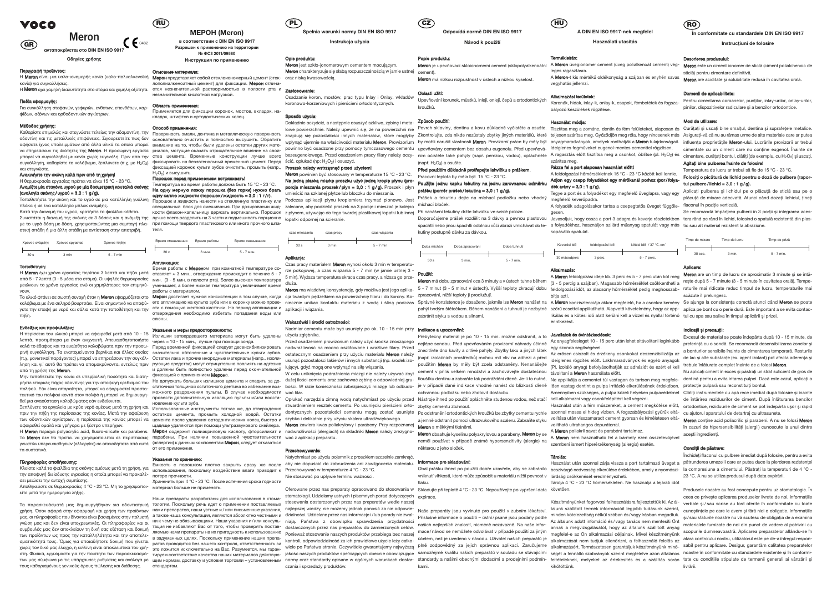**ανταποκρίνεται στο DIN ΕΝ ISO 9917**

**Οδηγίες χρήσης**

## Περιγραφή προϊόντος:

Η **Meron** είναι μια υαλο-ιονομερής κονία (υαλο-πολυαλκενοϊκή Μ**epoн** представляет собой стеклоиономерный цемент (стек- oraz niską kwasowością. κονία) για συγκολλήσεις.

Η **Meron** έχει χαμηλή διαλυτότητα στο στόμα και χαμηλή οξύτητα. ercя незначительной растворимостью в полости рта и zastosowanie:

## Πεδία εφαρμογής:

Για συγκόλληση στεφανών, γεφυρών, ενθέτων, επενθέτων, καρφίδων, αξόνων και ορθοδοντικών αγκίστρων.

## Μέθοδος χρήσης:

weoooo, χρησης.<br>Καθαρίστε επιμελώς και στεγνώστε τελείως την αδαμαντίνη, την Πορερχμοςτε эмали και στεγνώστε.

με το υγρό δόση με δόση, χρησιμοποιώντας μια συμπαγή πλα-при помощи твердого пластикового или иного прочного шпаστική σπάθη ή μια άλλη σπάθη με αντίσταση στην αποτρι

## Ανακινήστε την σκόνη καλά πριν από τη χρήση!

Η θερμοκρασία εργασίας πρέπει να είναι 15 ºC - 23 ºC. Αναμίξτε μία σταγόνα υγρού με μία δοσιμετρική κουταλιά σκόνης (αναλογία σκόνης /υγρού = 3.0 : 1 g/g).

Τοποθετήστε την σκόνη και το υγρό σε μια κατάλληλη γυάλινη πλάκα ή σε ένα κατάλληλο μπλοκ ανάμιξης.

Κατά την διανομή του υγρού, κρατήστε το φιαλίδιο κάθετα.

| Χρόνος ανάμιξης |                 | Χρόνος εργασίας | Χρόνος πήξης |
|-----------------|-----------------|-----------------|--------------|
|                 |                 |                 |              |
|                 | 30 <sub>s</sub> | 3 min           | $5 - 7$ min  |

## Τοποθέτηση:

νουν.

πήξη.

## Ενδείξεις και προφυλάξεις:

## **RU МЕРОН (Meron)**

Η περίσσεια του υλικού μπορεί να αφαιρεθεί μετά από 10 - 15 λεπτά, προτιμότερα με έναν ανιχνευτή. Απευαισθητοποιήστε από τη χρήση της Meron.

## Μην τοποθετείτε την κονία σε υπερβολική ποσότητα και διατηρήστε επαρκές πάχος οδοντίνης για την αποφυγή ερεθισμού του πολφού. Εάν είναι απαραίτητο, μπορεί να εφαρμοστεί προστατευτικό του πολφού κοντά στον πολφό ή μπορεί να δημιουργηθεί μια ανασύσταση κολοβώματος εάν ενδείκνυται.

Порошок перед применением встряхивать!<br>Температура во время работы должна быть 15 °C - 23 °C. Температура во время работы должна быть 15 °С - 23 °С. температура во время разоты должна вать то от все стал **porcja mieszania proszek/płyn = 3,0 : 1 g/g).** Proszek i płyn<br>На одну мерную ложку порошка (без горки) нужно брать одну каплю жидкости (порошок /жидкость = 3,0 : 1 г / г).

Συνιστάται η διανομή της σκόνης σε 3 δόσεις και η ανάμιξή της πучше всего разделить на 3 части и подмешивать порционно <sub>ł</sub>opatki odpornej na ścieranie. ленециальный блок для смешивания. При дозировании жид- zalecane, aby podzielić proszek na 3 porcje i mieszać je kolejno Michací bloček. кости флакон-капельницу держать вертикально. Порошок zpłynem, używając do tego twardej plastikowej łopatki lub innej Při nanášení tekutiny držte lahvičku ve svislé poloze.

οδοντίνη και τις μεταλλικές επιφάνειες. Σιγουρευτείτε πως δεν основательно очистить и полностью высушить. Обратить αφήσατε ίχνος υπολειμμάτων από άλλα υλικά τα οποία μπορεί внимание на то, чтобы были удалены остатки других матеνα επηρεάσουν τις ιδιότητες της Meron. Η προσωρινή εργασία ρικαιών τω συσματισμένου και της προσωπικής προσωπικής προσωπικής προσωπικής προσωπικής προσωπικής προσωπικής προσωπικής της Merophysisten. μπορεί να συγκολληθεί με κονία χωρίς ευγενόλη. Πριν από την στва цемента. Временные конструкции лучше всего bezeugenolowego. Przed osadzeniem pracy filary należy oczy- ním očistěte také pahýly (např. pemzou, vodou), oplá συγκόλληση, καθαρίστε το κολόβωμα, ξεπλύνετε (π.χ. με H<sub>2</sub>O<sub>2</sub>) фиксировать на безэвгенольный временный цемент. Перед ścić, opłukać (np: H<sub>2</sub>O<sub>2</sub>) i osuszyć. Поверхность эмали, дентина и металлическую поверхность фиксацией коронок культи зубов очистить, промыть (напр., Proszek należy wstrząsnąć przed użyciem! H2O2) и высушить.

Ξεπλύνετε τα εργαλεία με κρύο νερό αμέσως μετά τη χρήση και Ξεπλύνετε τα έργαλειά με κρύο νέρο αμεδώς μετά τη χρήση και Μεποльзованные инструменты тотчас же, до отверждения<br>πριν την πήξη της περίσσειας της κονίας. Μετά την αφαίρεση σατατκοε μεмента, промыть холодной водой. Остатк των οδοντικών αγκίστρων, η περίσσεια της κονίας μπορεί να αφαιρεθεί ομαλά και γρήγορα με ξέστρο υπερήχων.

τοποσετήση.<br>Η **Meron** έχει χρόνο εργασίας περίπου 3 λεπτά και πήζει μετά οπηρηθεία απεράκτηση στη πρικατοπική τεν περίπου ει<br>7 - Η Meron έχει χρόνο εργασίας περίπου 3 λεπτά και πήζει μετά οπηρηθεία απεράκτηση στη προστα από 5 - 7 λεπτά (3 - 5 μέσα στο στόμα). Οι υψηλές θερμοκρασίες мин. (3 - 5 мин. в полости рта). Более высокая температура μειώνουν το χρόνο εργασίας ενώ οι χαμηλότερες τον επιμηκύ- уменьшает, а более низкая температура увеличивает время dłuża. работы с материалом.

Η Meron περιέχει polyacrylic acid, fluoro-silicate και parabens. γνωστών υπερευαισθησιών (αλλεργίες) σε οποιοδήποτε από αυτά τα συστατικά.

κολόβωμα με ένα σκληρό βουρτσάκι. Είναι σημαντικό να αποφύ- ero annnикацию на культю зуба или в коронку можно прове- niecznie unikać kontaktu materialu z wodą i śliną podczas Správné konzistence je dosaženo, jakmile lze M γετε την επαφή με νερό και σάλιο κατά την τοποθέτηση και την <sup>сти</sup> с помощью жесткой кисточки. На период аппликации и <sub>aplikacji i wiązania.</sub> отверждения необходимо избегать попадания воды или слюны.

## Πληροφορίες αποθήκευσης:

Κλείστε καλά το φιαλίδια της σκόνης αμέσως μετά τη χρήση, για την αποφυγή διείσδυσης υγρασίας η οποία μπορεί να προκαλέσει μειώσει την αντοχή συμπίεσης.

καλά το έδαφος και τα ευαίσθητα κολοβώματα πριν την προσω- Πеред временной фиксацией следует десенсибилизировать nadwrażliwość na mocno oszlifowane i wrażliwe filary. Przed ρινή συγκόλληση. Τα εναπομείναντα βερνίκια και άλλες ουσίες значительно и чувствительные культи зубов. ostatecznym osadzeniem przy użyciu materiału **Meron** należy (π.χ. μονωτικοί παράγοντες) μπορεί να επηρεάσουν την συγκόλ-Остатки лака и прочие инородные материалы (напр., изолиληση και γι' αυτό θα πρέπει να απομακρύνονται εντελώς πριν γργοщие средства) могут отрицательно повлиять на адгезию Излишки затвердевшего материала могут быть удалены через ≈ 10 - 15 мин., лучше при помощи зонда. и должны быть полностью удалены перед окончательной

фиксацией с применением Мерона. Не допускать больших излишков цемента и следить за до-dużej ilości cementu oraz zachować zębinę o odpowiedniej gruможного раздражения пульпы. В случае необходимости wać filar. провести дополнительную изоляцию пульпы и/или восста- Opłukać narzędzia zimną wodą natychmiast po użyciu przed Nástroje ihned po použití opláchněte studenou vodou, než stačí kell alkalmazni vagy csonkfelépítést kell végez новление культи зуба.<br>Использованные инструменты тотчас же, до отверждения

ACCRETACION DESCRIPTION CONTROLLY IN THE SUID ASSUMPTED TO THE SUID AND THE SUID AND THE SUID AND THE SUID AND THE SUID AND THE SUID AND THE SUID AND THE SUID AND THE SUID AND THE SUID AND THE SUID AND THE SUID AND THE SUI цемента после удаления ортодонтических колец быстро и <sup>szybko i delikatnie przy użyciu skalera ultradźwiękowego.</sup>

Αποθηκεύστε σε θερμοκρασίες 4 ºC - 23 ºC. Μη το χρησιμοποιείτε μετά την ημερομηνία λήξης.

Το **Meron** δεν θα πρέπει να χρησιμοποιείται σε περιπτώσεις παραбены. При наличии повышенной чувствительности wać zaplikacji preparatu. (аллергии) к данным компонентам Мерон, следует отказаться от его применения.

**в соответствии с DIN EN ISO 9917 Разрешен к применению на территории № ФС3 2011/09580 Инструкция по применению**

## Описание материала:

лополиалкеноатный цемент) для фиксации. Мерон отличанезначительной кислотной нагрузкой.

Область применения: Применяется для фиксации коронок, мостов, вкладок, на-

## кладок, штифтов и ортодонтических колец.

Meron powinien być stosowany w temperaturze 15 °C - 23 °C. March powinien być slosowany w temperaturze 19-0-20-0.<br>Na jedną płaską miarkę proszku użyć jedną kroplę płynu (pro-new title iednu kapliu Adaptinu na jednu za umieścić na szklanej płytce lub bloczku do mieszania.

Порошок и жидкость нанести на стеклянную пластинку или Podczas aplikacji płynu kroplomierz trzymać pionowo. Jest

время работы с **мерон**ом три комнатной температуре со-<br>ставляет ≈ 3 мин., отверждение происходит в течение 5 - 7 mm in Witters three subject access access a stitute as a Czas pracy materiałem Meron wynosi około 3 min w temperatu-5 min). Wyższa temperatura skraca czas pracy, a niższa go prze-

Το υλικό φτάνει σε σωστή συνοχή όταν η **Meron** εφαρμόζεται στο Μ**epoн** достигает нужной консистенции в том случае, когда cja twardym pędzelkiem na powierzchnię filaru i do korony. Ko- zpracování, nižší teploty ji prodluž Meron ma właściwą konsystencję, gdy możliwa jest jego aplika-

> Nadmiar cementu może być usunięty po ok. 10 - 15 min przy **Indikace a upozornění:** użyciu zgłębnika.

статочной толщиной остаточного дентина во избежание воз- bości. W razie konieczności zabezpieczyć miazge lub odbudo- je v případě dané indikace vhodné nanést do blízkosti dřeně lően vastag dentint a pulpa irritáció elkerü W celu uniknięcia podrażnienia miazgi nie należy używać zbyt

| Время смешивания | Время работы | Время связывания |
|------------------|--------------|------------------|
| 30 <sub>c</sub>  | 3 мин.       | 5 - 7 мин.       |
|                  |              | теля.            |

## Аппликация:

Τα παρασκευάσματά μας δημιουργήθηκαν για οδοντιατρική тологии. Поскольку речь идет о применении поставляемых συμβουλές μας δεν αποκλείουν τη δική σας εξέταση και δοκιμή των προϊόντων ως προς την καταλληλότητα και την αποτελε-в задуманных целях. Поскольку применение наших препаσματικότητά τους. Όμως για οποιαδήποτε δοκιμή που γίνεται ратов проводится без нашего контроля, ответственность за χωρίς τον δικό μας έλεγχο, η ευθύνη είναι αποκλειστικά του χρή-это ложится исключительно на Вас. Разумеется, мы гаранτους καθορισμένους γενικούς όρους πώλησης και διάθεσης. стандартам.

χρήση. Όσον αφορά στην εφαρμογή και χρήση των προϊόντων нами препаратов, наши устные и/или письменные указания, najlepszej wiedzy, nie możemy jednak ponosić za nie odpowie- Naše preparáty jsou vyvinuté pro použití v zubní μας, οι πληροφορίες που δίνονται είναι βασισμένες στην πολυετή а также наша консультация, являются абсолютно честными и dzialności. Udzielane przez nas informacje i/lub porady nie zwal-, γνώση μας και δεν είναι υποχρεωτικές. Οι πληροφορίες και οι Η<sup>μ</sup> κ чему не обязывающими. Наши указания и/или консуль- niają. Państwa z obowiązku sprawdzenia przydatności στη. Φυσικά, εγγυόμαστε για την ποιότητα των παρασκευασμά-<br>προκειτικό προκειρικό προκειρικό προκειρικό προκει του προκειρικό προκει του προκειρικό καθείστευς καθείστευς καθείστευς καθείστευς μια προκειρικό προκειρικό προκ των μας σύμφωνα με τις υπάρχουσες ρυθμίσεις και ανάλογα με μμω нормам, доставку и условия торговли - установленным погту oraz standardy opisane w ogólnych warunkach dostar- standardy a našimi obecnými dodacími a prodejní тация не избавляют Вас от того, чтобы проверять постав-dostarczonych przez nas preparatów do zamierzonych celów. ляемые нами препараты на их пригодность к использованию Ponieważ stosowanie naszych produktów przebiega bez naszej Oferowane przez nas preparaty opracowano do stosowania w Skladujte při teplotě 4 °C - 23 °C. Nepoužívejte po vypršení data követően. stomatologii. Udzielamy ustnych i pisemnych porad dotyczących expirace. stosowania dostarczonych przez nas preparatów wedle naszej kontroli, odpowiedzialność za ich prawidłowe użycie leży całkowicie po Państwa stronie. Oczywiście gwarantujemy najwyższą plně zodpovědný za jejich správnou aplikaci. Zaručujeme alkalmazásért. Természetesen garantáljuk készítményünk minő- sabil pentru aplicare. Desigur, garantám cali czania i sprzedaży produktów.



## Указания и меры предосторожности:

Doporučujeme prášek rozdělit na 3 dávky a pevnou plastovou Javasoljuk, hogy ossza a port 3 adagra és keverje részletekben tora rând pe rând în lichid, folosind o spatulă rezistentă din plasšpachtlí nebo jinou špachtlí odolnou vůči abrazi vmíchávat do te- a folyadékhoz, használjon szilárd műanyag spatulát vagy más tic sau alt material rezistent la abraziune. kutiny postupně dávku za dávkou.

Přebytečný materiál je po 10 - 15 min. možné odstranit, a to **Javallatok és óvintézkedések:** nejlépe sondou. Před upevňováním provizorní náhrady účinně Az anyagfelesleget 10 - 15 perc után lehet eltávolítani leginkább egy szonda segítségével.<br>znecitlivte dno kavity a citlivé pahýly. Zbytky laku a jiných látek (např. izolačních prostředků) mohou mít vliv na adhezi a před použitím Meron by měly být zcela odstraněny. Nenanášejte cement v příliš velkém množství a zachovávejte dostatečnou v <sub>távolítani a</sub> Meron használata előtt. ochrannou podložku nebo zhotovit dostavbu.

щадяще удаляются при помощи ультразвукового скейлера. Meron zawiera kwas poliakrylowy i parabeny. Przy rozpoznanej Meron s měkkými tkáněmi. Мерон содержит полиакриловую кислоту, фторсиликат и nadwrażliwości (alergiach) na składniki Meron należy zrezygno-<br>Предобник Призначител предичанией интересител нести и концикционный и мером и мером и метом оbsahuje kysel stwardnieniem resztek cementu. Po usunięciu pierścieni orto-zbytky cementu ztuhnout.

### Указания по хранению:

использования, поскольку воздействие влаги приводит к Przechowywać w temperaturze 4 °C - 23 °C. потере прочности. Храненить при 4 °C - 23 °C. После истечения срока годности

měl používat v případě známé hypersenzitivity (alergie) na **A Meron** nem használható fel a bármely ezen összetevőjével<br>neměl používat v případě známé hypersenzitivity (alergie) na **Alergie alergie kinevánély szeptember** (a některou z jeho složek.

материал больше не применять. Наши препараты разработаны для использования в стома-

**Instrukcja użycia**

## Opis produktu:

**Meron** jest szkło-jonomerowym cementem mocującym. **Meron** charakteryzuje się słabą rozpuszczalnością w jamie ustnej cement).

Keverési idő feldolgozási idő kötési idő / 37 °C-on/  $5 - 7$  perc.

Osadzanie koron, mostów, prac typu Inlay i Onlay, wkładów koronowo-korzeniowych i pierścieni ortodontycznych.

## Sposób użycia:

Dokładnie oczyścić, a następnie osuszyć szkliwo, zębinę i meta- **Způsob použití:** 

Емкость с порошком плотно закрыть сразу же после aby nie dopuścić do zabrudzenia ani zawilgocenia materiału. Natychmiast po użyciu pojemnik z proszkiem szczelnie zamknąć, Nie stosować po upływie terminu ważności.

| czas mieszania  | czas pracy | czas wiązania |
|-----------------|------------|---------------|
| 30 <sub>s</sub> | 3 min      | $5 - 7$ min   |
| Andliandor      |            |               |

### Aplikacja:

Meron este un ciment ionomer de sticlă (ciment polialchenoic de sticlă) pentru cimentare definitivă.

## Wskazówki i środki ostrożności:

cimentate cu un ciment care nu contine eugenol. Înainte de Agitaţi bine pulberea înainte de folosire!

**Folosiţi o picătură de lichid pentru o doză de pulbere (rapor** $t$ ul pulbere/lichid =  $3.0:1$   $g/g$ ).

Aplicati pulberea și lichidul pe o plăcută de sticlă sau pe o plăcută de mixare adecvată. Atunci când dozați lichidul, țineți flaconul în poziție verticală.

Se recomandă împărțirea pulberii în 3 porții și integrarea aces-

Przed osadzeniem prowizorium należy użyć środka znoszącego usunąć pozostałości lakierów i innych substancji (np. środek izolujący), gdyż mogą one wpłynąć na siłę wiązania.

Meron má dobu zpracování cca 3 minuty a v ústech tuhne během (3 - 5 percig a szájban). Magasabb hőmérséklet csökkentheti a reşte după 5 - 7 minute (3 - 5 minute în cavitatea orală). Tempe-5 - 7 minut (3 - 5 minut v ústech). Vyšší teploty zkracují dobu feldolgozási időt, az alacsony hőmérséklet pedig meghosszab- raturile mai ridicate reduc timpul de lucru, temperaturile mai Meron are un timp de lucru de aproximativ 3 minute și se întăscăzute îl prelungesc.

pahýl tvrdým štětečkem. Během nanášení a tuhnutí je nezbytné szőrű ecsettel applikálható. Alapvető követelmény, hogy az app- aplica pe bont cu o perie dură. Este important a se evita contaclikálás és a kötési idő alatt kerülni kell a vízzel és nyállal történő tul cu apa sau saliva în timpul aplicării şi prizei.

## Indicatii si precautii:

(Pl. izoláló anyag) befolyásolhatják az adhéziót és ezért el kell kelen trebuie înlăturate complet înainte de a folosi Meron. Excesul de material se poate îndepărta după 10 - 15 minute, de preferintă cu o sondă. Se recomandă desensibilizarea zonelor și a bonturilor sensibile înainte de cimentarea temporară. Resturile de lac si alte substante (ex. agent izolant) pot afecta aderenta si

tloušťku dentinu a zabraňte tak podráždění dřeně. Je-li to nutné, Ne applikálja a cementet túl vastagon és tartson meg megfele- dentină pentru a evita iritarea pulpei. Dacă este cazul, aplicați o Nu aplicati ciment în exces și păstrați un strat suficient de gros de

> Amennyiben szükséges, a pulpa közeli helyeken pulpavédelmet Clătiți instrumentele cu apă rece imediat după folosire și înainte Használat után a fém műszereket, a cement megkötése előtt, ortodontice, reziduurile de ciment se pot îndepărta uşor şi rapid de întărirea reziduurilor de ciment. După înlăturarea benzilor

> > Meron contine acid poliacrilic și parabeni. A nu se folosi Meron în cazuri de hipersensibilități (alergii) cunoscute la unul dintre acesti ingredienti.

## Conditii de păstrare:

## Przechowywanie:

Obal prášku ihned po použití dobře uzavřete, aby se zabránilo beszivárgó nedvesség elkerülése érdekében, amely a nyomószi- la compresiune a cimentului. Păstrați la temperaturi de 4 °C -Használat után azonnal zárja vissza a port tartalmazó üveget a pătrunderea umezelii care ar putea duce la pierderea rezistenței Închideţi flaconul cu pulbere imediat după folosire, pentru a evita 23 °C. A nu se utiliza produsul după data expirării.

účelem, než je uvedeno v návodu. Uživatel našich preparátů je valkalmazását nem tudjuk ellenőrizni, a felhasználó felelős az afara controlului nostru, utilizatorul este pe de-a întregul respon-Készítményünket fogorvosi felhasználásra fejlesztettük ki. Az ál- verbale şi/sau scrise au fost oferite în conformitate cu toate talunk szállított termék információit legjobb tudásunk szerint, eunoştințele pe care le avem și fără nici o obligație. Informațiile Produsele noastre au fost concepute pentru uz stomatologic. În ceea ce privește aplicarea produselor livrate de noi, informațiile si/sau sfaturile noastre nu vă scutesc de obligatia de a examina materialele furnizate de noi din punct de vedere al potrivirii cu scopurile dumneavoastră. Aplicarea preparatelor aflându-se în livrării.

**Odpovídá normě DIN EN ISO 9917 Návod k použití**

## Popis produktu:

Meron je upevňovací sklojonomerní cement (sklopolyalkenoátní Meron má nízkou rozpustnost v ústech a nízkou kyselost.

## Oblasti užití:

Upevňování korunek, můstků, inlejí, onlejí, čepů a ortodontických kroužků.

lowe powierzchnie. Należy upewnić się, że na powierzchni nie Povrch skloviny, dentinu a kovu důkladně vyčistěte a osušte. Tisztítsa meg a zománc, dentin és fém felületeket, alaposan és Curățați și uscați bine smalțul, dent znajdują się pozostałości innych materiałów, które mogłyby Zkontrolujte, zda nikde nezůstaly zbytky jiných materiálů, které teljesen szárítsa meg. Győződjön meg róla, hogy nincsenek más Asigurati-vă că nu au rămas urme de wpłynąć ujemnie na właściwości materiału Meron. Prowizorium by mohli narušit vlastnosti Meron. Provizorní práce by měly být anyagmaradványok, amelyek ronthatják a Meron tulajdonságait. influența proprietățile Meron-ului. L (např. H<sub>2</sub>O<sub>2</sub>) a osušte.

## Před použitím důkladně protřepejte lahvičku s práškem.

Použijte jednu kapku tekutiny na jednu zarovnanou odměrku prášku (poměr prášek/tekutina = 3,0 : 1 g/g).

Prášek a tekutinu dejte na míchací podložku nebo vhodný

| Doba míchání    | Doba zpracování | Doba tuhnutí |
|-----------------|-----------------|--------------|
| 30 <sub>s</sub> | 3 min.          | $5 - 7$ min. |

## Použití:

zabránit styku s vodou a slinami.

## Informace pro skladování:

tlaku.

Příslušné informace o použití – ústní/ psané jsou podány podle našich nejlepších znalostí, nicméně nezávazně. Na naše infor-

kami.



## **A DIN EN ISO 9917-nek megfelel Használati utasítás**

Termékleírás:

leges ragasztásra.

A Meron-t kis mértékű oldékonyság a szájban és enyhén savas

## **Spełnia warunki normy DIN EN ISO 9917 PL CZ HU RO**

vegyhatás jellemzi. Alkalmazási területek:

Koronák, hidak, inlay-k, onlay-k, csapok, fémbetétek és fogsza-

bályozó készülékek rögzítése.

Használat módja:

szárítsa meg.

## Rázza fel a port alaposan használat előtt!

a jemně odstranit pomocí ultrazvukového scaleru. Zabraňte styku volítása után visszamaradt cement gyorsan és kíméletesen eltá-

A feldolgozási hőmérsékletnek 15 °C - 23 °C között kell lennie. Adjon egy csepp folyadékot egy mérőkanál porhoz (por / folya-

Tegye a port és a folyadékot egy megfelelő üveglapra, vagy egy

megfelelő keverőpadra.

A folyadék adagolásakor tartsa a csepegtetős üveget függőle-

gesen.

dék arány =  $3,0:1$  g/g).

vniknutí vlhkosti, které může způsobit u materiálu nižší pevnost v lárdság csökkenését eredményezheti.

kopásálló spatulát.

Alkalmazás:

bítia aztl.

A Meron feldolgozási ideje kb. 3 perc és 5 - 7 perc után köt meg

mace / návod se nemůžete odvolávat v případě použití za jiným megfelel-e az Ön alkalmazási céljainak. Mivel készítményünk minden kötelezettség nélkül szóban és/vagy írásban megadtuk. Az általunk adott infomáció és / vagy tanács nem mentesíti Önt annak a megvizsgálásától, hogy az általunk szállított anyag

érintkezést.

## A Meron üvegionomer cement (üveg polialkenoát cement) vég-Descrierea produsului:

Az erősen csiszolt és érzékeny csonkokat deszenzibilizálja az ideiglenes rögzítés előtt. Lakkmaradványok és egyéb anyagok

A **Meron** poliakril savat és parabént tartalmaz.

volítható ultrahangos depurátorral.

szembeni ismert hiperérzékenység (allergia) esetén.

Tárolás:

Tárolja 4 °C - 23 °C hőmérsékleten. Ne használja a lejárati időt

kikötöttünk.

**În conformitate cu standardele DIN EN ISO 9917**

**Instrucţiuni de folosire**

Meron are aciditate şi solubilitate redusă în cavitatea orală.

## Domenii de aplicabilitate:

Pentru cimentarea coroanelor, punţilor, inlay-urilor, onlay-urilor, pinilor, dispozitivelor radiculare şi a benzilor ortodontice.

Mod de utilizare:

Temperatura de lucru ar trebui să fie de 15 °C - 23 °C.



## Aplicare:

# VOCO

**GR**

# Meron  $\bigcap_{0.482}$